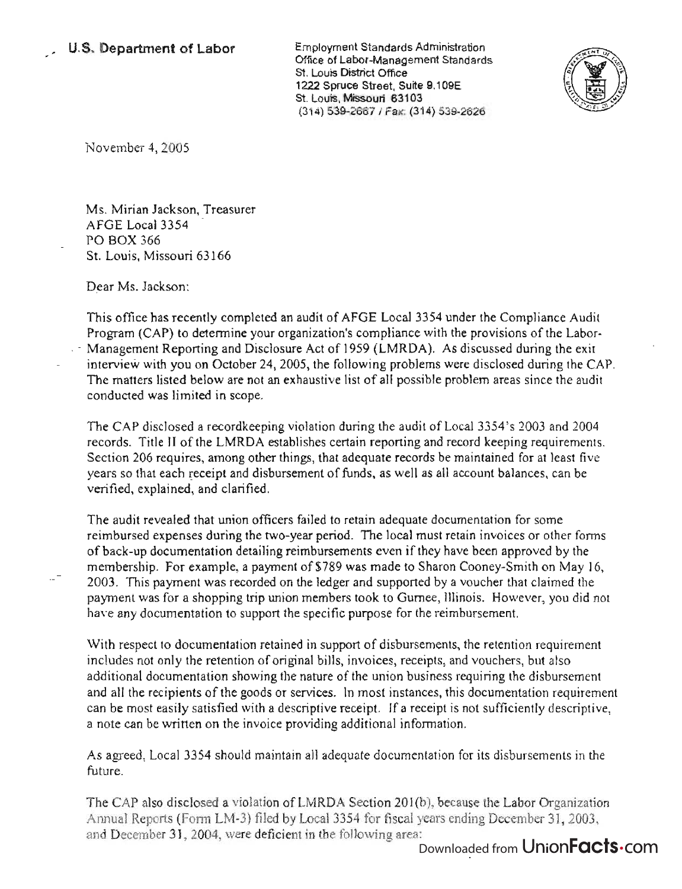Employment Standards Administration Office of Labor-Management Standards St. Louis District Office 1222 Spruce Street, Suite 9.109E St. Louis, Missouri 63103 (314) 539-2667 I Fax: (314) 539-2626



November 4, 2005

Ms. Mirian Jackson, Treasurer AFGE Local 3354 PO BOX 366 St. Louis, Missouri 63166

Dear Ms. Jackson:

This office has recently completed an audit of AFGE Local 3354 under the Compliance Audit Program (CAP) to determine your organization's compliance with the provisions of the Labor-  $\sim$  Management Reporting and Disclosure Act of 1959 (LMRDA). As discussed during the exit interview with you on October 24,2005, the following problems were disclosed during the CAP. The matters listed below are not an exhaustive list of all possible problem areas since the audit conducted was limited in scope.

The CAP disclosed a recordkeeping violation during the audit of Local 3354 's 2003 and 2004 records. Title II of the LMRDA establishes certain reporting and record keeping requirements. Section 206 requires, among other things, that adequate records be maintained for at least five years so that each receipt and disbursement of funds, as well as all account balances, can be verified, explained, and clarified.

The audit revealed that union officers failed to retain adequate documentation for some reimbursed expenses during the two-year period. The local must retain invoices or other forms of back-up documentation detailing reimbursements even if they have been approved by the membership. For example, a payment of \$789 was made to Sharon Cooney-Smith on May 16, 2003. This payment was recorded on the ledger and supported by a voucher that claimed the payment was for a shopping trip union members took to Gurnee, Illinois. However, you did not have any documentation to support the specific purpose for the reimbursement.

With respect to documentation retained in support of disbursements, the retention requirement includes not only the retention of original bills, invoices, receipts, and vouchers, but also additional documentation showing the nature of the union business requiring the disbursement and all the recipients of the goods or services. In most instances, this documentation requirement can be most easily satisfied with a descriptive receipt. If a receipt is not sufficiently descriptive, a note can be written on the invoice providing additional information.

As agreed, Local 3354 should maintain all adequate documentation for its disbursements in the future.

The CAP also disclosed a violation of LMRDA Section 201(b), because the Labor Organization Annual Reports (Form LM-3) filed by Local 3354 for fiscal years ending December 31,2003, and December 31, 2004, were deficient in the following area:

## Downloaded from UnionFacts.com